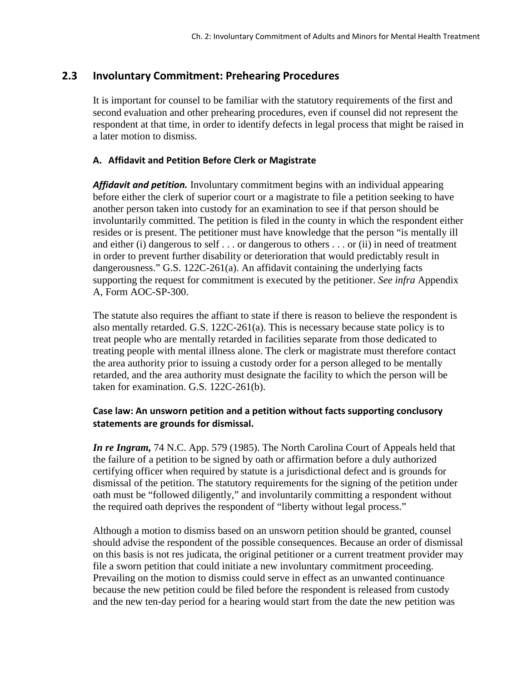# **2.3 Involuntary Commitment: Prehearing Procedures**

It is important for counsel to be familiar with the statutory requirements of the first and second evaluation and other prehearing procedures, even if counsel did not represent the respondent at that time, in order to identify defects in legal process that might be raised in a later motion to dismiss.

## **A. Affidavit and Petition Before Clerk or Magistrate**

*Affidavit and petition.* Involuntary commitment begins with an individual appearing before either the clerk of superior court or a magistrate to file a petition seeking to have another person taken into custody for an examination to see if that person should be involuntarily committed. The petition is filed in the county in which the respondent either resides or is present. The petitioner must have knowledge that the person "is mentally ill and either (i) dangerous to self . . . or dangerous to others . . . or (ii) in need of treatment in order to prevent further disability or deterioration that would predictably result in dangerousness." G.S. 122C-261(a). An affidavit containing the underlying facts supporting the request for commitment is executed by the petitioner. *See infra* Appendix A, Form AOC-SP-300.

The statute also requires the affiant to state if there is reason to believe the respondent is also mentally retarded. G.S. 122C-261(a). This is necessary because state policy is to treat people who are mentally retarded in facilities separate from those dedicated to treating people with mental illness alone. The clerk or magistrate must therefore contact the area authority prior to issuing a custody order for a person alleged to be mentally retarded, and the area authority must designate the facility to which the person will be taken for examination. G.S. 122C-261(b).

### **Case law: An unsworn petition and a petition without facts supporting conclusory statements are grounds for dismissal.**

*In re Ingram,* 74 N.C. App. 579 (1985). The North Carolina Court of Appeals held that the failure of a petition to be signed by oath or affirmation before a duly authorized certifying officer when required by statute is a jurisdictional defect and is grounds for dismissal of the petition. The statutory requirements for the signing of the petition under oath must be "followed diligently," and involuntarily committing a respondent without the required oath deprives the respondent of "liberty without legal process."

Although a motion to dismiss based on an unsworn petition should be granted, counsel should advise the respondent of the possible consequences. Because an order of dismissal on this basis is not res judicata, the original petitioner or a current treatment provider may file a sworn petition that could initiate a new involuntary commitment proceeding. Prevailing on the motion to dismiss could serve in effect as an unwanted continuance because the new petition could be filed before the respondent is released from custody and the new ten-day period for a hearing would start from the date the new petition was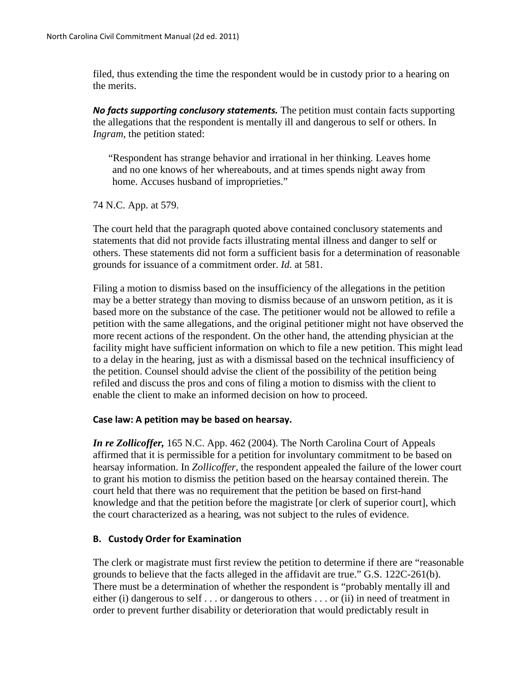filed, thus extending the time the respondent would be in custody prior to a hearing on the merits.

*No facts supporting conclusory statements.* The petition must contain facts supporting the allegations that the respondent is mentally ill and dangerous to self or others. In *Ingram,* the petition stated:

"Respondent has strange behavior and irrational in her thinking. Leaves home and no one knows of her whereabouts, and at times spends night away from home. Accuses husband of improprieties."

74 N.C. App. at 579.

The court held that the paragraph quoted above contained conclusory statements and statements that did not provide facts illustrating mental illness and danger to self or others. These statements did not form a sufficient basis for a determination of reasonable grounds for issuance of a commitment order. *Id.* at 581.

Filing a motion to dismiss based on the insufficiency of the allegations in the petition may be a better strategy than moving to dismiss because of an unsworn petition, as it is based more on the substance of the case. The petitioner would not be allowed to refile a petition with the same allegations, and the original petitioner might not have observed the more recent actions of the respondent. On the other hand, the attending physician at the facility might have sufficient information on which to file a new petition. This might lead to a delay in the hearing, just as with a dismissal based on the technical insufficiency of the petition. Counsel should advise the client of the possibility of the petition being refiled and discuss the pros and cons of filing a motion to dismiss with the client to enable the client to make an informed decision on how to proceed.

#### **Case law: A petition may be based on hearsay.**

*In re Zollicoffer,* 165 N.C. App. 462 (2004). The North Carolina Court of Appeals affirmed that it is permissible for a petition for involuntary commitment to be based on hearsay information. In *Zollicoffer,* the respondent appealed the failure of the lower court to grant his motion to dismiss the petition based on the hearsay contained therein. The court held that there was no requirement that the petition be based on first-hand knowledge and that the petition before the magistrate [or clerk of superior court], which the court characterized as a hearing, was not subject to the rules of evidence.

# **B. Custody Order for Examination**

The clerk or magistrate must first review the petition to determine if there are "reasonable grounds to believe that the facts alleged in the affidavit are true." G.S. 122C-261(b). There must be a determination of whether the respondent is "probably mentally ill and either (i) dangerous to self . . . or dangerous to others . . . or (ii) in need of treatment in order to prevent further disability or deterioration that would predictably result in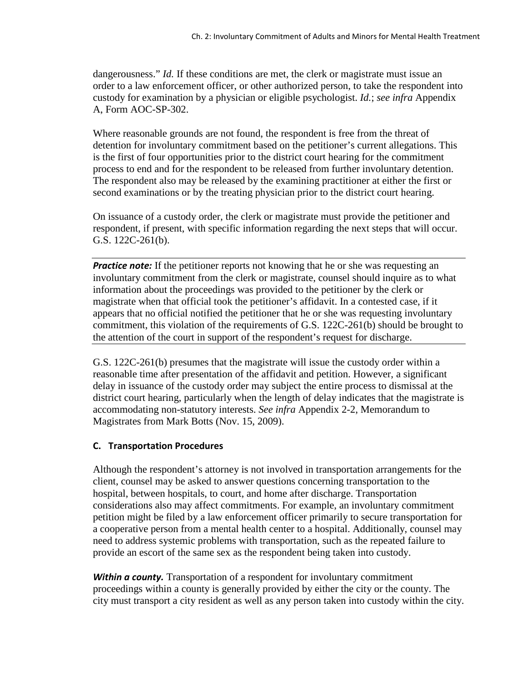dangerousness." *Id.* If these conditions are met, the clerk or magistrate must issue an order to a law enforcement officer, or other authorized person, to take the respondent into custody for examination by a physician or eligible psychologist. *Id.*; *see infra* Appendix A, Form AOC-SP-302.

Where reasonable grounds are not found, the respondent is free from the threat of detention for involuntary commitment based on the petitioner's current allegations. This is the first of four opportunities prior to the district court hearing for the commitment process to end and for the respondent to be released from further involuntary detention. The respondent also may be released by the examining practitioner at either the first or second examinations or by the treating physician prior to the district court hearing.

On issuance of a custody order, the clerk or magistrate must provide the petitioner and respondent, if present, with specific information regarding the next steps that will occur. G.S. 122C-261(b).

*Practice note:* If the petitioner reports not knowing that he or she was requesting an involuntary commitment from the clerk or magistrate, counsel should inquire as to what information about the proceedings was provided to the petitioner by the clerk or magistrate when that official took the petitioner's affidavit. In a contested case, if it appears that no official notified the petitioner that he or she was requesting involuntary commitment, this violation of the requirements of G.S. 122C-261(b) should be brought to the attention of the court in support of the respondent's request for discharge.

G.S. 122C-261(b) presumes that the magistrate will issue the custody order within a reasonable time after presentation of the affidavit and petition. However, a significant delay in issuance of the custody order may subject the entire process to dismissal at the district court hearing, particularly when the length of delay indicates that the magistrate is accommodating non-statutory interests. *See infra* Appendix 2-2, Memorandum to Magistrates from Mark Botts (Nov. 15, 2009).

#### **C. Transportation Procedures**

Although the respondent's attorney is not involved in transportation arrangements for the client, counsel may be asked to answer questions concerning transportation to the hospital, between hospitals, to court, and home after discharge. Transportation considerations also may affect commitments. For example, an involuntary commitment petition might be filed by a law enforcement officer primarily to secure transportation for a cooperative person from a mental health center to a hospital. Additionally, counsel may need to address systemic problems with transportation, such as the repeated failure to provide an escort of the same sex as the respondent being taken into custody.

*Within a county.* Transportation of a respondent for involuntary commitment proceedings within a county is generally provided by either the city or the county. The city must transport a city resident as well as any person taken into custody within the city.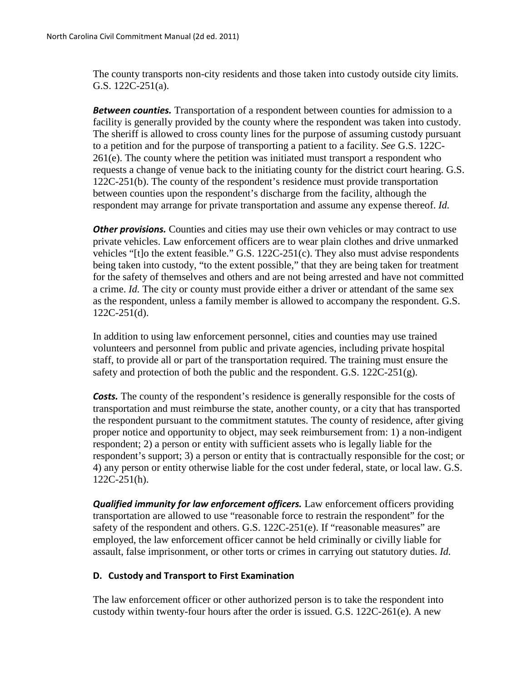The county transports non-city residents and those taken into custody outside city limits. G.S. 122C-251(a).

*Between counties.* Transportation of a respondent between counties for admission to a facility is generally provided by the county where the respondent was taken into custody. The sheriff is allowed to cross county lines for the purpose of assuming custody pursuant to a petition and for the purpose of transporting a patient to a facility. *See* G.S. 122C-261(e). The county where the petition was initiated must transport a respondent who requests a change of venue back to the initiating county for the district court hearing. G.S. 122C-251(b). The county of the respondent's residence must provide transportation between counties upon the respondent's discharge from the facility, although the respondent may arrange for private transportation and assume any expense thereof. *Id.*

**Other provisions.** Counties and cities may use their own vehicles or may contract to use private vehicles. Law enforcement officers are to wear plain clothes and drive unmarked vehicles "[t]o the extent feasible." G.S. 122C-251(c). They also must advise respondents being taken into custody, "to the extent possible," that they are being taken for treatment for the safety of themselves and others and are not being arrested and have not committed a crime. *Id.* The city or county must provide either a driver or attendant of the same sex as the respondent, unless a family member is allowed to accompany the respondent. G.S. 122C-251(d).

In addition to using law enforcement personnel, cities and counties may use trained volunteers and personnel from public and private agencies, including private hospital staff, to provide all or part of the transportation required. The training must ensure the safety and protection of both the public and the respondent. G.S. 122C-251(g).

**Costs.** The county of the respondent's residence is generally responsible for the costs of transportation and must reimburse the state, another county, or a city that has transported the respondent pursuant to the commitment statutes. The county of residence, after giving proper notice and opportunity to object, may seek reimbursement from: 1) a non-indigent respondent; 2) a person or entity with sufficient assets who is legally liable for the respondent's support; 3) a person or entity that is contractually responsible for the cost; or 4) any person or entity otherwise liable for the cost under federal, state, or local law. G.S. 122C-251(h).

*Qualified immunity for law enforcement officers.* Law enforcement officers providing transportation are allowed to use "reasonable force to restrain the respondent" for the safety of the respondent and others. G.S. 122C-251(e). If "reasonable measures" are employed, the law enforcement officer cannot be held criminally or civilly liable for assault, false imprisonment, or other torts or crimes in carrying out statutory duties. *Id.*

#### **D. Custody and Transport to First Examination**

The law enforcement officer or other authorized person is to take the respondent into custody within twenty-four hours after the order is issued. G.S. 122C-261(e). A new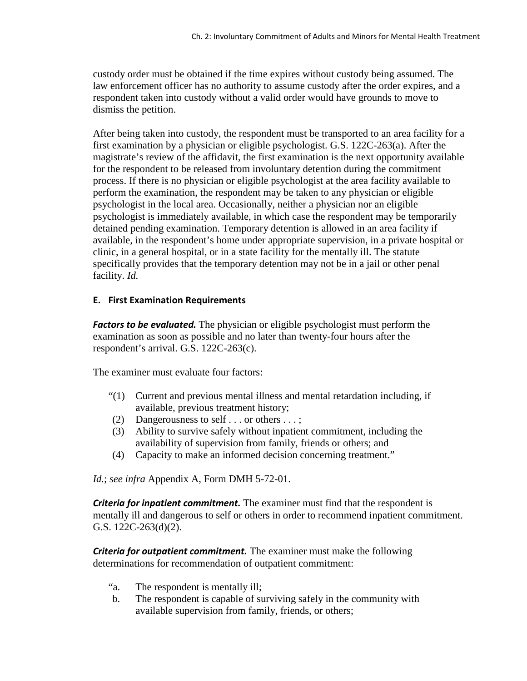custody order must be obtained if the time expires without custody being assumed. The law enforcement officer has no authority to assume custody after the order expires, and a respondent taken into custody without a valid order would have grounds to move to dismiss the petition.

After being taken into custody, the respondent must be transported to an area facility for a first examination by a physician or eligible psychologist. G.S. 122C-263(a). After the magistrate's review of the affidavit, the first examination is the next opportunity available for the respondent to be released from involuntary detention during the commitment process. If there is no physician or eligible psychologist at the area facility available to perform the examination, the respondent may be taken to any physician or eligible psychologist in the local area. Occasionally, neither a physician nor an eligible psychologist is immediately available, in which case the respondent may be temporarily detained pending examination. Temporary detention is allowed in an area facility if available, in the respondent's home under appropriate supervision, in a private hospital or clinic, in a general hospital, or in a state facility for the mentally ill. The statute specifically provides that the temporary detention may not be in a jail or other penal facility. *Id.*

# **E. First Examination Requirements**

*Factors to be evaluated.* The physician or eligible psychologist must perform the examination as soon as possible and no later than twenty-four hours after the respondent's arrival. G.S. 122C-263(c).

The examiner must evaluate four factors:

- "(1) Current and previous mental illness and mental retardation including, if available, previous treatment history;
- (2) Dangerousness to self . . . or others . . . ;
- (3) Ability to survive safely without inpatient commitment, including the availability of supervision from family, friends or others; and
- (4) Capacity to make an informed decision concerning treatment."

*Id.*; *see infra* Appendix A, Form DMH 5-72-01.

*Criteria for inpatient commitment.* The examiner must find that the respondent is mentally ill and dangerous to self or others in order to recommend inpatient commitment. G.S. 122C-263(d)(2).

*Criteria for outpatient commitment.* The examiner must make the following determinations for recommendation of outpatient commitment:

- "a. The respondent is mentally ill;
- b. The respondent is capable of surviving safely in the community with available supervision from family, friends, or others;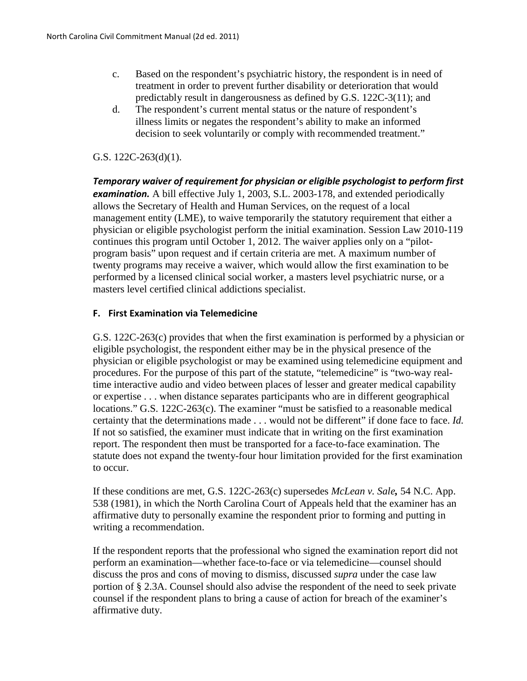- c. Based on the respondent's psychiatric history, the respondent is in need of treatment in order to prevent further disability or deterioration that would predictably result in dangerousness as defined by G.S. 122C-3(11); and
- d. The respondent's current mental status or the nature of respondent's illness limits or negates the respondent's ability to make an informed decision to seek voluntarily or comply with recommended treatment."

## G.S. 122C-263(d)(1).

*Temporary waiver of requirement for physician or eligible psychologist to perform first examination.* A bill effective July 1, 2003, S.L. 2003-178, and extended periodically allows the Secretary of Health and Human Services, on the request of a local management entity (LME), to waive temporarily the statutory requirement that either a physician or eligible psychologist perform the initial examination. Session Law 2010-119 continues this program until October 1, 2012. The waiver applies only on a "pilotprogram basis" upon request and if certain criteria are met. A maximum number of twenty programs may receive a waiver, which would allow the first examination to be performed by a licensed clinical social worker, a masters level psychiatric nurse, or a masters level certified clinical addictions specialist.

### **F. First Examination via Telemedicine**

G.S. 122C-263(c) provides that when the first examination is performed by a physician or eligible psychologist, the respondent either may be in the physical presence of the physician or eligible psychologist or may be examined using telemedicine equipment and procedures. For the purpose of this part of the statute, "telemedicine" is "two-way realtime interactive audio and video between places of lesser and greater medical capability or expertise . . . when distance separates participants who are in different geographical locations." G.S. 122C-263(c). The examiner "must be satisfied to a reasonable medical certainty that the determinations made . . . would not be different" if done face to face. *Id.*  If not so satisfied, the examiner must indicate that in writing on the first examination report. The respondent then must be transported for a face-to-face examination. The statute does not expand the twenty-four hour limitation provided for the first examination to occur.

If these conditions are met, G.S. 122C-263(c) supersedes *McLean v. Sale,* 54 N.C. App. 538 (1981), in which the North Carolina Court of Appeals held that the examiner has an affirmative duty to personally examine the respondent prior to forming and putting in writing a recommendation.

If the respondent reports that the professional who signed the examination report did not perform an examination—whether face-to-face or via telemedicine—counsel should discuss the pros and cons of moving to dismiss, discussed *supra* under the case law portion of § 2.3A. Counsel should also advise the respondent of the need to seek private counsel if the respondent plans to bring a cause of action for breach of the examiner's affirmative duty.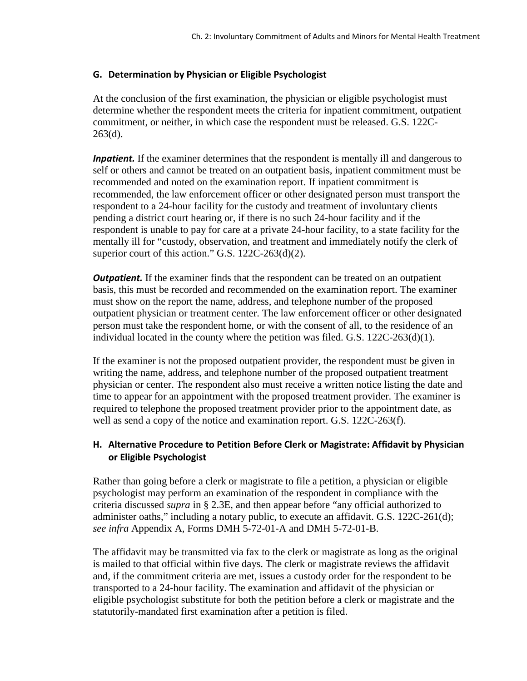# **G. Determination by Physician or Eligible Psychologist**

At the conclusion of the first examination, the physician or eligible psychologist must determine whether the respondent meets the criteria for inpatient commitment, outpatient commitment, or neither, in which case the respondent must be released. G.S. 122C-263(d).

*Inpatient.* If the examiner determines that the respondent is mentally ill and dangerous to self or others and cannot be treated on an outpatient basis, inpatient commitment must be recommended and noted on the examination report. If inpatient commitment is recommended, the law enforcement officer or other designated person must transport the respondent to a 24-hour facility for the custody and treatment of involuntary clients pending a district court hearing or, if there is no such 24-hour facility and if the respondent is unable to pay for care at a private 24-hour facility, to a state facility for the mentally ill for "custody, observation, and treatment and immediately notify the clerk of superior court of this action." G.S. 122C-263(d)(2).

**Outpatient.** If the examiner finds that the respondent can be treated on an outpatient basis, this must be recorded and recommended on the examination report. The examiner must show on the report the name, address, and telephone number of the proposed outpatient physician or treatment center. The law enforcement officer or other designated person must take the respondent home, or with the consent of all, to the residence of an individual located in the county where the petition was filed. G.S. 122C-263(d)(1).

If the examiner is not the proposed outpatient provider, the respondent must be given in writing the name, address, and telephone number of the proposed outpatient treatment physician or center. The respondent also must receive a written notice listing the date and time to appear for an appointment with the proposed treatment provider. The examiner is required to telephone the proposed treatment provider prior to the appointment date, as well as send a copy of the notice and examination report. G.S. 122C-263(f).

# **H. Alternative Procedure to Petition Before Clerk or Magistrate: Affidavit by Physician or Eligible Psychologist**

Rather than going before a clerk or magistrate to file a petition, a physician or eligible psychologist may perform an examination of the respondent in compliance with the criteria discussed *supra* in § 2.3E, and then appear before "any official authorized to administer oaths," including a notary public, to execute an affidavit. G.S. 122C-261(d); *see infra* Appendix A, Forms DMH 5-72-01-A and DMH 5-72-01-B.

The affidavit may be transmitted via fax to the clerk or magistrate as long as the original is mailed to that official within five days. The clerk or magistrate reviews the affidavit and, if the commitment criteria are met, issues a custody order for the respondent to be transported to a 24-hour facility. The examination and affidavit of the physician or eligible psychologist substitute for both the petition before a clerk or magistrate and the statutorily-mandated first examination after a petition is filed.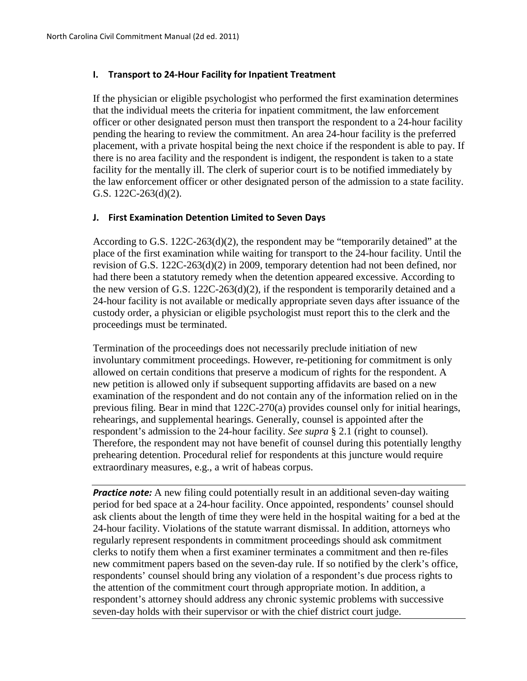#### **I. Transport to 24-Hour Facility for Inpatient Treatment**

If the physician or eligible psychologist who performed the first examination determines that the individual meets the criteria for inpatient commitment, the law enforcement officer or other designated person must then transport the respondent to a 24-hour facility pending the hearing to review the commitment. An area 24-hour facility is the preferred placement, with a private hospital being the next choice if the respondent is able to pay. If there is no area facility and the respondent is indigent, the respondent is taken to a state facility for the mentally ill. The clerk of superior court is to be notified immediately by the law enforcement officer or other designated person of the admission to a state facility. G.S. 122C-263(d)(2).

#### **J. First Examination Detention Limited to Seven Days**

According to G.S. 122C-263(d)(2), the respondent may be "temporarily detained" at the place of the first examination while waiting for transport to the 24-hour facility. Until the revision of G.S. 122C-263(d)(2) in 2009, temporary detention had not been defined, nor had there been a statutory remedy when the detention appeared excessive. According to the new version of G.S. 122C-263(d)(2), if the respondent is temporarily detained and a 24-hour facility is not available or medically appropriate seven days after issuance of the custody order, a physician or eligible psychologist must report this to the clerk and the proceedings must be terminated.

Termination of the proceedings does not necessarily preclude initiation of new involuntary commitment proceedings. However, re-petitioning for commitment is only allowed on certain conditions that preserve a modicum of rights for the respondent. A new petition is allowed only if subsequent supporting affidavits are based on a new examination of the respondent and do not contain any of the information relied on in the previous filing. Bear in mind that 122C-270(a) provides counsel only for initial hearings, rehearings, and supplemental hearings. Generally, counsel is appointed after the respondent's admission to the 24-hour facility. *See supra* § 2.1 (right to counsel). Therefore, the respondent may not have benefit of counsel during this potentially lengthy prehearing detention. Procedural relief for respondents at this juncture would require extraordinary measures, e.g., a writ of habeas corpus.

**Practice note:** A new filing could potentially result in an additional seven-day waiting period for bed space at a 24-hour facility. Once appointed, respondents' counsel should ask clients about the length of time they were held in the hospital waiting for a bed at the 24-hour facility. Violations of the statute warrant dismissal. In addition, attorneys who regularly represent respondents in commitment proceedings should ask commitment clerks to notify them when a first examiner terminates a commitment and then re-files new commitment papers based on the seven-day rule. If so notified by the clerk's office, respondents' counsel should bring any violation of a respondent's due process rights to the attention of the commitment court through appropriate motion. In addition, a respondent's attorney should address any chronic systemic problems with successive seven-day holds with their supervisor or with the chief district court judge.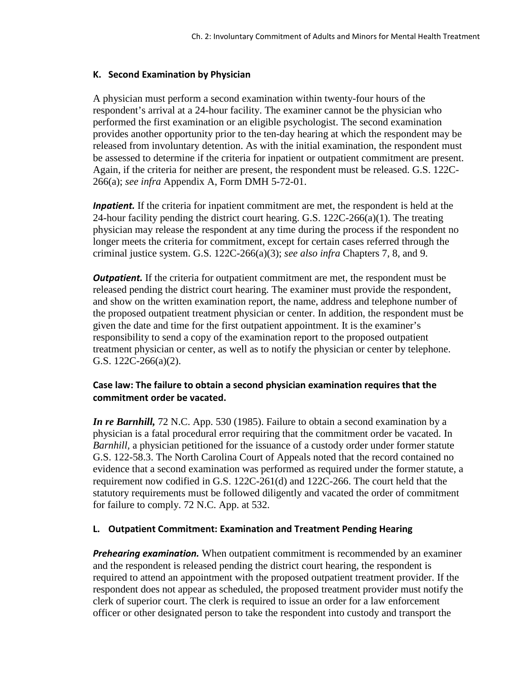### **K. Second Examination by Physician**

A physician must perform a second examination within twenty-four hours of the respondent's arrival at a 24-hour facility. The examiner cannot be the physician who performed the first examination or an eligible psychologist. The second examination provides another opportunity prior to the ten-day hearing at which the respondent may be released from involuntary detention. As with the initial examination, the respondent must be assessed to determine if the criteria for inpatient or outpatient commitment are present. Again, if the criteria for neither are present, the respondent must be released. G.S. 122C-266(a); *see infra* Appendix A, Form DMH 5-72-01.

*Inpatient*. If the criteria for inpatient commitment are met, the respondent is held at the 24-hour facility pending the district court hearing. G.S. 122C-266(a)(1). The treating physician may release the respondent at any time during the process if the respondent no longer meets the criteria for commitment, except for certain cases referred through the criminal justice system. G.S. 122C-266(a)(3); *see also infra* Chapters 7, 8, and 9.

*Outpatient.* If the criteria for outpatient commitment are met, the respondent must be released pending the district court hearing. The examiner must provide the respondent, and show on the written examination report, the name, address and telephone number of the proposed outpatient treatment physician or center. In addition, the respondent must be given the date and time for the first outpatient appointment. It is the examiner's responsibility to send a copy of the examination report to the proposed outpatient treatment physician or center, as well as to notify the physician or center by telephone. G.S. 122C-266(a)(2).

# **Case law: The failure to obtain a second physician examination requires that the commitment order be vacated.**

*In re Barnhill, 72 N.C. App. 530 (1985). Failure to obtain a second examination by a* physician is a fatal procedural error requiring that the commitment order be vacated. In *Barnhill,* a physician petitioned for the issuance of a custody order under former statute G.S. 122-58.3. The North Carolina Court of Appeals noted that the record contained no evidence that a second examination was performed as required under the former statute, a requirement now codified in G.S. 122C-261(d) and 122C-266. The court held that the statutory requirements must be followed diligently and vacated the order of commitment for failure to comply. 72 N.C. App. at 532.

#### **L. Outpatient Commitment: Examination and Treatment Pending Hearing**

*Prehearing examination.* When outpatient commitment is recommended by an examiner and the respondent is released pending the district court hearing, the respondent is required to attend an appointment with the proposed outpatient treatment provider. If the respondent does not appear as scheduled, the proposed treatment provider must notify the clerk of superior court. The clerk is required to issue an order for a law enforcement officer or other designated person to take the respondent into custody and transport the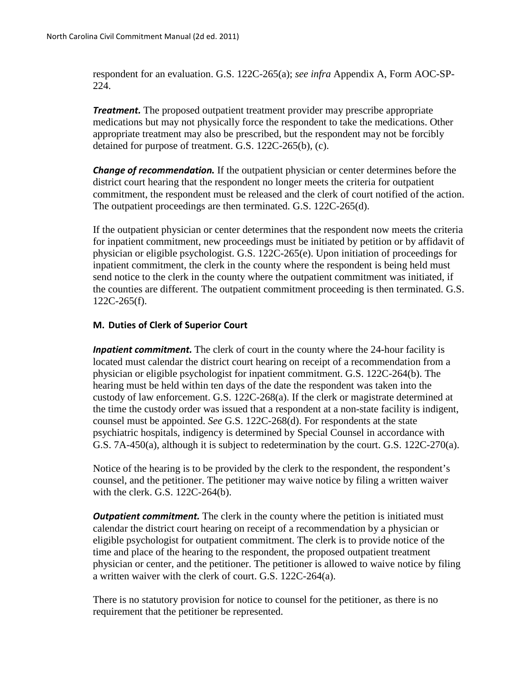respondent for an evaluation. G.S. 122C-265(a); *see infra* Appendix A, Form AOC-SP-224.

*Treatment.* The proposed outpatient treatment provider may prescribe appropriate medications but may not physically force the respondent to take the medications. Other appropriate treatment may also be prescribed, but the respondent may not be forcibly detained for purpose of treatment. G.S. 122C-265(b), (c).

*Change of recommendation.* If the outpatient physician or center determines before the district court hearing that the respondent no longer meets the criteria for outpatient commitment, the respondent must be released and the clerk of court notified of the action. The outpatient proceedings are then terminated. G.S. 122C-265(d).

If the outpatient physician or center determines that the respondent now meets the criteria for inpatient commitment, new proceedings must be initiated by petition or by affidavit of physician or eligible psychologist. G.S. 122C-265(e). Upon initiation of proceedings for inpatient commitment, the clerk in the county where the respondent is being held must send notice to the clerk in the county where the outpatient commitment was initiated, if the counties are different. The outpatient commitment proceeding is then terminated. G.S. 122C-265(f).

### **M. Duties of Clerk of Superior Court**

**Inpatient commitment.** The clerk of court in the county where the 24-hour facility is located must calendar the district court hearing on receipt of a recommendation from a physician or eligible psychologist for inpatient commitment. G.S. 122C-264(b). The hearing must be held within ten days of the date the respondent was taken into the custody of law enforcement. G.S. 122C-268(a). If the clerk or magistrate determined at the time the custody order was issued that a respondent at a non-state facility is indigent, counsel must be appointed. *See* G.S. 122C-268(d). For respondents at the state psychiatric hospitals, indigency is determined by Special Counsel in accordance with G.S. 7A-450(a), although it is subject to redetermination by the court. G.S. 122C-270(a).

Notice of the hearing is to be provided by the clerk to the respondent, the respondent's counsel, and the petitioner. The petitioner may waive notice by filing a written waiver with the clerk. G.S. 122C-264(b).

**Outpatient commitment.** The clerk in the county where the petition is initiated must calendar the district court hearing on receipt of a recommendation by a physician or eligible psychologist for outpatient commitment. The clerk is to provide notice of the time and place of the hearing to the respondent, the proposed outpatient treatment physician or center, and the petitioner. The petitioner is allowed to waive notice by filing a written waiver with the clerk of court. G.S. 122C-264(a).

There is no statutory provision for notice to counsel for the petitioner, as there is no requirement that the petitioner be represented.